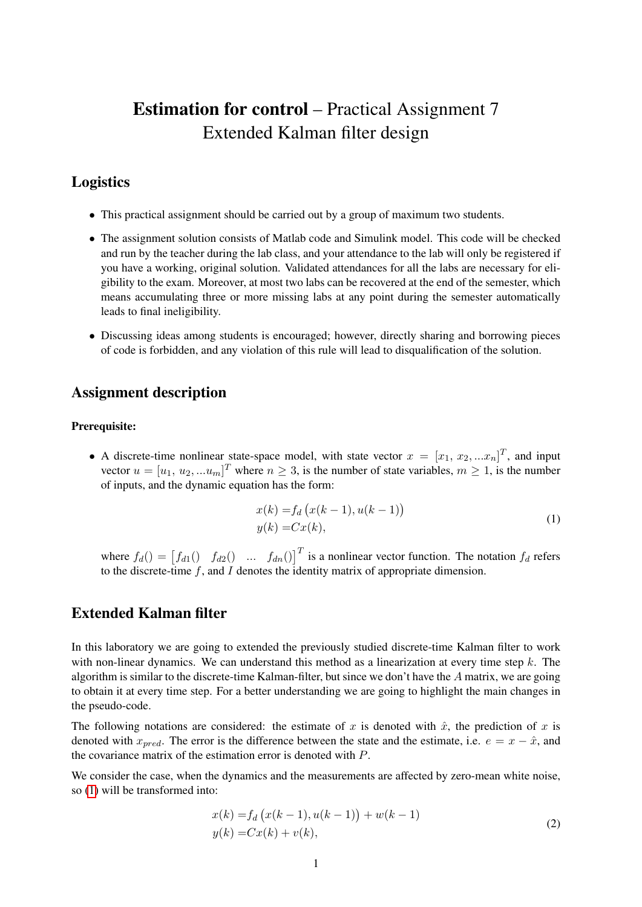# Estimation for control – Practical Assignment 7 Extended Kalman filter design

## Logistics

- This practical assignment should be carried out by a group of maximum two students.
- The assignment solution consists of Matlab code and Simulink model. This code will be checked and run by the teacher during the lab class, and your attendance to the lab will only be registered if you have a working, original solution. Validated attendances for all the labs are necessary for eligibility to the exam. Moreover, at most two labs can be recovered at the end of the semester, which means accumulating three or more missing labs at any point during the semester automatically leads to final ineligibility.
- Discussing ideas among students is encouraged; however, directly sharing and borrowing pieces of code is forbidden, and any violation of this rule will lead to disqualification of the solution.

### Assignment description

#### Prerequisite:

• A discrete-time nonlinear state-space model, with state vector  $x = [x_1, x_2, ... x_n]^T$ , and input vector  $u = [u_1, u_2, ... u_m]^T$  where  $n \geq 3$ , is the number of state variables,  $m \geq 1$ , is the number of inputs, and the dynamic equation has the form:

<span id="page-0-0"></span>
$$
x(k) = f_d (x(k-1), u(k-1))
$$
  
y(k) = Cx(k), (1)

where  $f_d() = [f_{d1}(f_{d2}(f_{d2}f_{d1} \dots f_{dn}(f_{dn}f_{d}f_{d1}))]$  is a nonlinear vector function. The notation  $f_d$  refers to the discrete-time  $f$ , and  $I$  denotes the identity matrix of appropriate dimension.

## Extended Kalman filter

In this laboratory we are going to extended the previously studied discrete-time Kalman filter to work with non-linear dynamics. We can understand this method as a linearization at every time step  $k$ . The algorithm is similar to the discrete-time Kalman-filter, but since we don't have the  $A$  matrix, we are going to obtain it at every time step. For a better understanding we are going to highlight the main changes in the pseudo-code.

The following notations are considered: the estimate of x is denoted with  $\hat{x}$ , the prediction of x is denoted with  $x_{pred}$ . The error is the difference between the state and the estimate, i.e.  $e = x - \hat{x}$ , and the covariance matrix of the estimation error is denoted with P.

We consider the case, when the dynamics and the measurements are affected by zero-mean white noise, so [\(1\)](#page-0-0) will be transformed into:

$$
x(k) = f_d(x(k-1), u(k-1)) + w(k-1)
$$
  
\n
$$
y(k) = Cx(k) + v(k),
$$
\n(2)